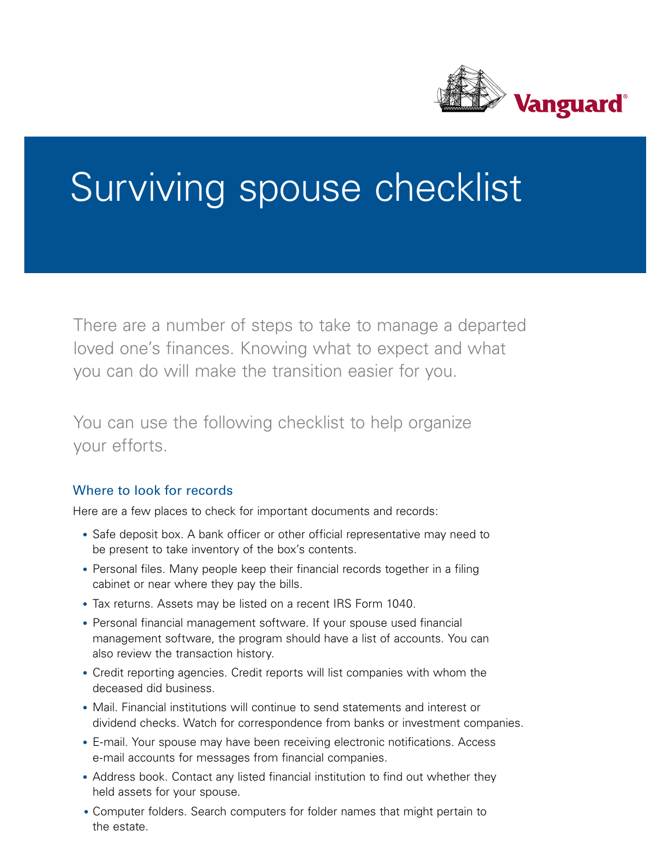

## Surviving spouse checklist

There are a number of steps to take to manage a departed loved one's finances. Knowing what to expect and what you can do will make the transition easier for you.

You can use the following checklist to help organize your efforts.

## Where to look for records

Here are a few places to check for important documents and records:

- Safe deposit box. A bank officer or other official representative may need to be present to take inventory of the box's contents.
- Personal files. Many people keep their financial records together in a filing cabinet or near where they pay the bills.
- Tax returns. Assets may be listed on a recent IRS Form 1040.
- Personal financial management software. If your spouse used financial management software, the program should have a list of accounts. You can also review the transaction history.
- • Credit reporting agencies. Credit reports will list companies with whom the deceased did business.
- Mail. Financial institutions will continue to send statements and interest or dividend checks. Watch for correspondence from banks or investment companies.
- • E-mail. Your spouse may have been receiving electronic notifications. Access e-mail accounts for messages from financial companies.
- Address book. Contact any listed financial institution to find out whether they held assets for your spouse.
- Computer folders. Search computers for folder names that might pertain to the estate.